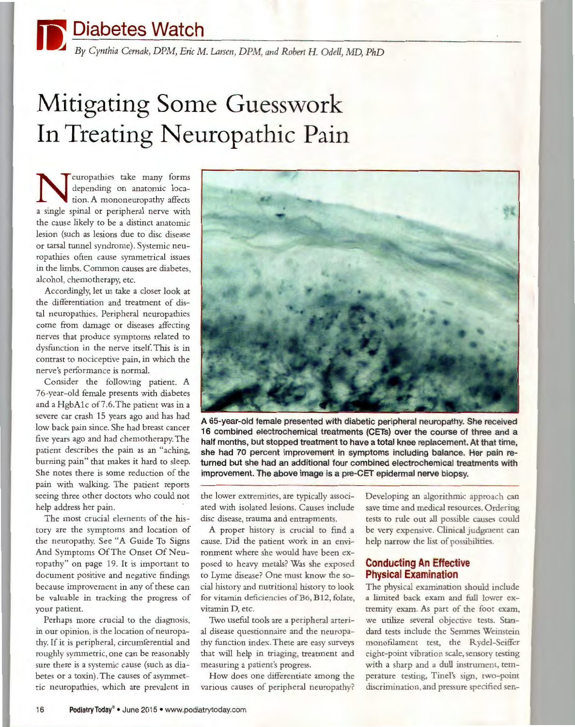*By Cynthia Cernak, DPM, Eric* M. *Larsen, DPM, and Robert H. Odell,* MD, *PhD* 

# **Mitigating Some Guesswork In Treating Neuropathic Pain**

europathies take many forms depending on anatomic location. A mononeuropathy affects a single spinal or peripheral nerve with the cause likely to be a distinct anatomic lesion (such as lesions due to disc disease or tarsal tunnel syndrome). Systemic neuropathies often cause symmetrical issues in the limbs. Common causes are diabetes, alcohol, chemotherapy, etc.

Accordingly, let us take a closer look at the differentiation and treatment of distal neuropathies. Peripheral neuropathies come from damage or diseases affecting nerves that produce symptoms related to dysfunction in the nerve itself. This is in contrast to nociceptive pain, in which the nerve's performance is normal.

Consider the following patient. A 76-year-old female presents with diabetes and a HgbA1c of 7.6. The patient was in a severe car crash 15 years ago and has had low back pain since. She had breast cancer five years ago and had chemotherapy. The patient describes the pain as an "aching, burning pain" that makes it hard to sleep. She notes there is some reduction of the pain with walking. The patient reports seeing three other doctors who could not help address her pain.

The most crucial elements of the history are the symptoms and location of the neuropathy. See "A Guide To Signs And Symptoms Of The Onset Of Neuropathy" on page 19. It is important to document positive and negative findings because improvement in any of these can be valuable in tracking the progress of your patient.

Perhaps more crucial to the diagnosis, in our opinion, is the location of neuropathy. If it is peripheral, circumferential and roughly symmetric, one can be reasonably sure there is a systemic cause (such as diabetes or a toxin). The causes of asymmetric neuropathies, which are prevalent in



**A 65-year-old female presented with diabetic peripheral neuropathy. She received 16 combined electrochemical treatments (GETs) over the course of three and a half months, but stopped treatment to have a total knee replacement. At that time, she had 70 percent improvement in symptoms including balance. Her pain returned but she had an additional four combined electrochemical treatments with improvement. The above image is a pre-CET epidermal nerve biopsy.** 

the lower extremities, are typically associated with isolated lesions. Causes include disc disease, trauma and entrapments.

A proper history is crucial to find a cause. Did the patient work in an environment where she would have been exposed to heavy metals? Was she exposed to Lyme disease? One must know the social history and nutritional history to look for vitamin deficiencies of B6, B12, folate, vitamin D, etc.

Two useful tools are a peripheral arterial disease questionnaire and the neuropathy function index. These are easy surveys that will help in triaging, treatment and measuring a patient's progress.

How does one differentiate among the various causes of peripheral neuropathy? Developing an algorithmic approach can save time and medical resources. Ordering tests to rule out all possible causes could be very expensive. Clinical judgment can help narrow the list of possibilities.

#### **Conducting An Effective Physical Examination**

The physical examination should include a limited back exam and full lower extremity exam. As part of the foot exam, we utilize several objective tests. Standard tests include the Semmes Weinstein monofilament test, the Rydel-Seiffer eight-point vibration scale, sensory testing with a sharp and a dull instrument, temperature testing, Tinel's sign, rwo-point discrimination, and pressure specified sen-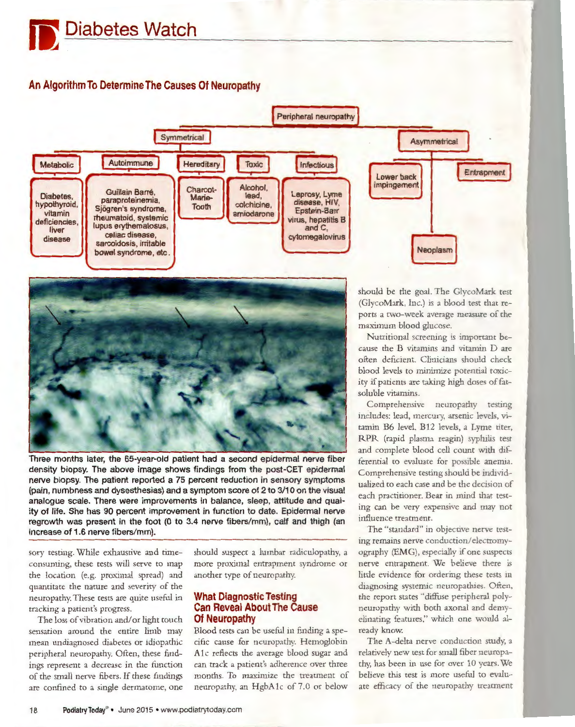## **An Algorithm To Determine The Causes Of Neuropathy**





Three months later, the 65-year-old patient had a second epidermal nerve fiber density biopsy. The above image shows findings from the post-GET epidermal nerve biopsy. The patient reported a 75 percent reduction in sensory symptoms (pain, numbness and dysesthesias) and a symptom score of 2 to 3/10 on the visual analogue scale. There were improvements in balance, sleep, attitude and quality of life. She has 90 percent improvement in function to date. Epidermal nerve regrowth was present in the foot {0 to 3.4 nerve fibers/mm), calf and thigh {an increase of 1.6 nerve fibers/mm).

sory testing. While exhaustive and timeconsuming, these tests will serve to map the location (e.g. proximal spread) and quantitate the nature and severity of the neuropathy. These tests are quite useful in tracking a patient's progress.

The loss of vibration and/ or light touch sensation around the entire limb may mean undiagnosed diabetes or idiopathic peripheral neuropathy. Often, these findings represent a decrease in the function of the small nerve fibers. If these findings are confined to a single dermatome, one should suspect a lumbar radiculopathy, a more proximal entrapment syndrome or another type of neuropathy.

#### **What Diagnostic Testing Can Reveal About The Cause Of Neuropathy**

Blood tests can be useful in finding a specific cause for neuropathy. Hemoglobin A1c reflects the average blood sugar and can track a patient's adherence over three months. To maximize the treatment of neuropathy, an HgbA1c of 7.0 or below

should be the goal. The GlycoMark test (GlycoMark, Inc.) is a blood test that reports a two-week average measure of the maximum blood glucose.

Nutritional screening is important because the B vitamins and vitamin D are often deficient. Clinicians should check blood levels to minimize potential toxicity if patients are taking high doses of fatsoluble vitamins.

Comprehensive neuropathy testing includes: lead, mercury, arsenic levels, vitamin B6 level, B12 levels, a Lyme titer, RPR (rapid plasma reagin) syphilis test and complete blood cell count with diffe rential to evaluate for possible anemia. Comprehensive testing should be individualized to each case and be the decision of each practitioner. Bear in mind that testing can be very expensive and may not influence treatment.

The "standard" in objective nerve testing remains nerve conduction/ electromyography (EMG), especially if one suspects nerve entrapment. We believe there is little evidence for ordering these tests in diagnosing systemic neuropathies. Often, the report states "diffuse peripheral polyneuropathy with both axonal and demyelinating features," which one would already know.

The A-delta nerve conduction study, a relatively new test for small fiber neuropathy, has been in use for over 10 years. We believe this test is more useful to evaluate efficacy of the neuropathy treatment